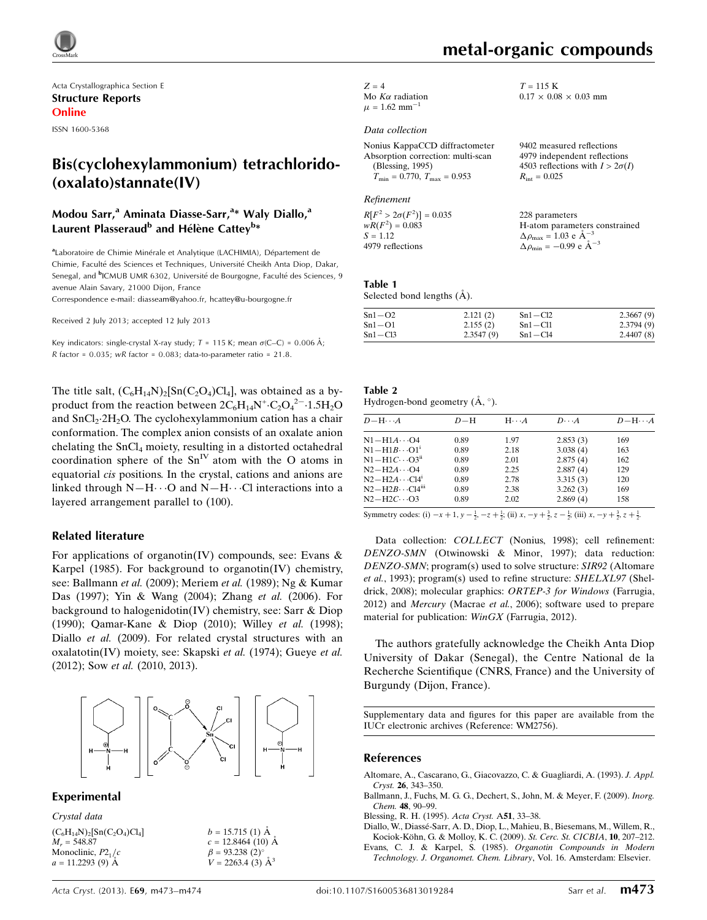

Acta Crystallographica Section E Structure Reports Online

ISSN 1600-5368

## Bis(cyclohexylammonium) tetrachlorido- (oxalato)stannate(IV)

## Modou Sarr,<sup>a</sup> Aminata Diasse-Sarr,<sup>a</sup>\* Waly Diallo,<sup>a</sup> Laurent Plasseraud<sup>b</sup> and Hélène Cattey<sup>b</sup>\*

<sup>a</sup>Laboratoire de Chimie Minérale et Analytique (LACHIMIA), Département de Chimie, Faculté des Sciences et Techniques, Université Cheikh Anta Diop, Dakar, Senegal, and <sup>b</sup>ICMUB UMR 6302, Université de Bourgogne, Faculté des Sciences, 9 avenue Alain Savary, 21000 Dijon, France

Correspondence e-mail: [diasseam@yahoo.fr](https://scripts.iucr.org/cgi-bin/cr.cgi?rm=pdfbb&cnor=wm2756&bbid=BB21), [hcattey@u-bourgogne.fr](https://scripts.iucr.org/cgi-bin/cr.cgi?rm=pdfbb&cnor=wm2756&bbid=BB21)

Received 2 July 2013; accepted 12 July 2013

Key indicators: single-crystal X-ray study;  $T = 115$  K; mean  $\sigma$ (C–C) = 0.006 Å; R factor =  $0.035$ ; wR factor =  $0.083$ ; data-to-parameter ratio =  $21.8$ .

The title salt,  $(C_6H_{14}N)_2[Sn(C_2O_4)Cl_4]$ , was obtained as a byproduct from the reaction between  $2C_6H_{14}N^+ \cdot C_2O_4^2$  - 1.5H<sub>2</sub>O and SnCl<sub>2</sub>.2H<sub>2</sub>O. The cyclohexylammonium cation has a chair conformation. The complex anion consists of an oxalate anion chelating the  $SnCl<sub>4</sub>$  moiety, resulting in a distorted octahedral coordination sphere of the  $Sn<sup>IV</sup>$  atom with the O atoms in equatorial cis positions. In the crystal, cations and anions are linked through  $N-H\cdots O$  and  $N-H\cdots Cl$  interactions into a layered arrangement parallel to (100).

#### Related literature

For applications of organotin(IV) compounds, see: Evans  $\&$ Karpel (1985). For background to organotin(IV) chemistry, see: Ballmann et al. (2009); Meriem et al. (1989); Ng & Kumar Das (1997); Yin & Wang (2004); Zhang et al. (2006). For background to halogenidotin(IV) chemistry, see: Sarr & Diop (1990); Qamar-Kane & Diop (2010); Willey et al. (1998); Diallo et al. (2009). For related crystal structures with an oxalatotin(IV) moiety, see: Skapski et al. (1974); Gueye et al. (2012); Sow et al. (2010, 2013).



#### Experimental

| Crystal data                                                          |                                                            |
|-----------------------------------------------------------------------|------------------------------------------------------------|
| $(C_6H_{14}N)_2$ [Sn(C <sub>2</sub> O <sub>4</sub> )Cl <sub>4</sub> ] | $b = 15.715$ (1) $\AA$                                     |
| $M_r = 548.87$                                                        | $c = 12.8464(10)$ Å                                        |
| Monoclinic, $P2_1/c$                                                  | $\beta$ = 93.238 (2)°<br>$V = 2263.4$ (3) $\mathring{A}^3$ |
| $a = 11.2293(9)$ A                                                    |                                                            |

#### Data collection

| Nonius KappaCCD diffractometer                      | 9402 measured reflections             |
|-----------------------------------------------------|---------------------------------------|
| Absorption correction: multi-scan                   | 4979 independent reflections          |
| (Blessing, 1995)                                    | 4503 reflections with $I > 2\sigma$ . |
| $T_{\text{min}} = 0.770$ , $T_{\text{max}} = 0.953$ | $R_{\text{int}} = 0.025$              |
|                                                     |                                       |

Refinement

 $R[F^2 > 2\sigma(F^2)] = 0.035$ <br>  $wR(F^2) = 0.083$  $S = 1.12$ 4979 reflections

4503 reflections with  $I > 2\sigma(I)$ 

228 parameters H-atom parameters constrained  $\Delta \rho_{\text{max}} = 1.03 \text{ e A}^{-3}$  $\Delta \rho_{\text{min}} = -0.99 \text{ e A}^{-3}$ 

#### Table 1 Selected bond lengths (Å).

| $Sn1-O2$    | 2.121(2)  | $Sn1 - Cl2$ | 2.3667(9) |
|-------------|-----------|-------------|-----------|
| $Sn1-O1$    | 2.155(2)  | $Sn1 - Cl1$ | 2.3794(9) |
| $Sn1 - Cl3$ | 2.3547(9) | $Sn1 - Cl4$ | 2.4407(8) |

Table 2 Hydrogen-bond geometry  $(A, \circ)$ .

| $D - H \cdots A$                | $D - H$ | $H \cdots A$ | $D\cdots A$ | $D - H \cdots A$                          |
|---------------------------------|---------|--------------|-------------|-------------------------------------------|
| $N1 - H1A \cdots 04$            | 0.89    | 1.97         | 2.853(3)    | 169                                       |
| $N1 - H1B \cdots O1^i$          | 0.89    | 2.18         | 3.038(4)    | 163                                       |
| $N1-H1C\cdots O3n$              | 0.89    | 2.01         | 2.875(4)    | 162                                       |
| $N2-H2A\cdots O4$               | 0.89    | 2.25         | 2.887(4)    | 129                                       |
| $N2-H2A\cdots C14$ <sup>1</sup> | 0.89    | 2.78         | 3.315(3)    | 120                                       |
| $N2-H2B\cdots C14m$             | 0.89    | 2.38         | 3.262(3)    | 169                                       |
| $N2-H2C\cdots$ O3               | 0.89    | 2.02         | 2.869(4)    | 158                                       |
|                                 |         |              |             | $\sim$ $\sim$ $\sim$ $\sim$ $\sim$ $\sim$ |

Symmetry codes: (i)  $-x + 1$ ,  $y - \frac{1}{2}$ ,  $-z + \frac{1}{2}$ ; (ii)  $x$ ,  $-y + \frac{3}{2}$ ,  $z - \frac{1}{2}$ ; (iii)  $x$ ,  $-y + \frac{3}{2}$ ,  $z + \frac{1}{2}$ .

Data collection: COLLECT (Nonius, 1998); cell refinement: DENZO-SMN (Otwinowski & Minor, 1997); data reduction: DENZO-SMN; program(s) used to solve structure: SIR92 (Altomare et al., 1993); program(s) used to refine structure: SHELXL97 (Sheldrick, 2008); molecular graphics: ORTEP-3 for Windows (Farrugia, 2012) and Mercury (Macrae et al., 2006); software used to prepare material for publication: WinGX (Farrugia, 2012).

The authors gratefully acknowledge the Cheikh Anta Diop University of Dakar (Senegal), the Centre National de la Recherche Scientifique (CNRS, France) and the University of Burgundy (Dijon, France).

Supplementary data and figures for this paper are available from the IUCr electronic archives (Reference: WM2756).

#### References

- [Altomare, A., Cascarano, G., Giacovazzo, C. & Guagliardi, A. \(1993\).](https://scripts.iucr.org/cgi-bin/cr.cgi?rm=pdfbb&cnor=wm2756&bbid=BB1) J. Appl. Cryst. 26[, 343–350.](https://scripts.iucr.org/cgi-bin/cr.cgi?rm=pdfbb&cnor=wm2756&bbid=BB1)
- [Ballmann, J., Fuchs, M. G. G., Dechert, S., John, M. & Meyer, F. \(2009\).](https://scripts.iucr.org/cgi-bin/cr.cgi?rm=pdfbb&cnor=wm2756&bbid=BB2) Inorg. Chem. 48[, 90–99.](https://scripts.iucr.org/cgi-bin/cr.cgi?rm=pdfbb&cnor=wm2756&bbid=BB2)
- [Blessing, R. H. \(1995\).](https://scripts.iucr.org/cgi-bin/cr.cgi?rm=pdfbb&cnor=wm2756&bbid=BB3) Acta Cryst. A51, 33–38.
- Diallo, W., Diassé-Sarr, A. D., Diop, L., Mahieu, B., Biesemans, M., Willem, R., Kociok-Köhn, G. & Molloy, K. C. (2009). St. Cerc. St. CICBIA, 10, 207-212.

[Evans, C. J. & Karpel, S. \(1985\).](https://scripts.iucr.org/cgi-bin/cr.cgi?rm=pdfbb&cnor=wm2756&bbid=BB5) Organotin Compounds in Modern [Technology. J. Organomet. Chem. Library](https://scripts.iucr.org/cgi-bin/cr.cgi?rm=pdfbb&cnor=wm2756&bbid=BB5), Vol. 16. Amsterdam: Elsevier.

 $T = 115$  K

 $0.17 \times 0.08 \times 0.03$  mm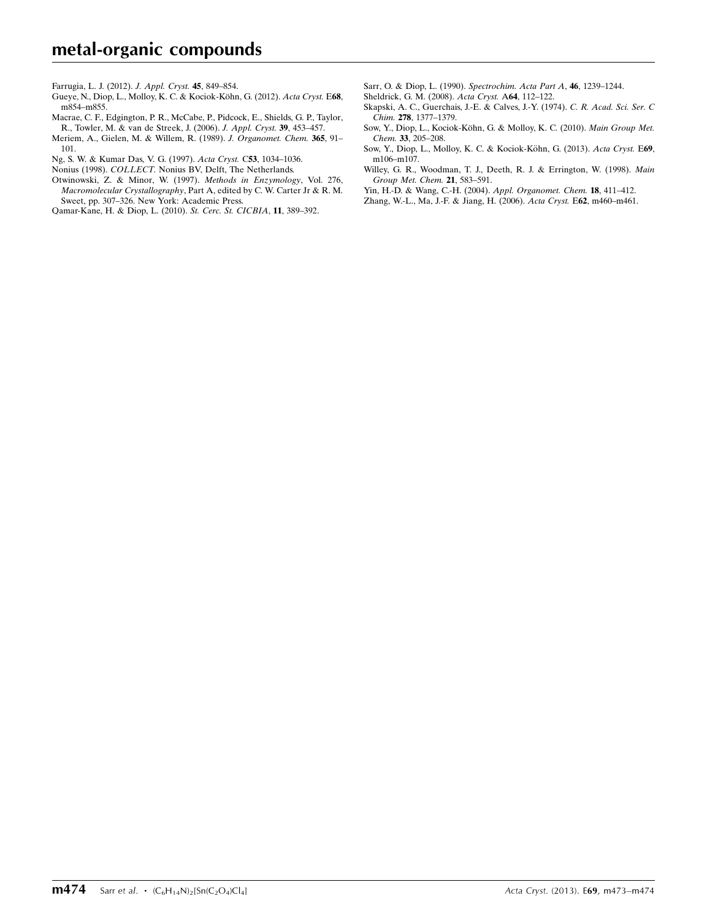# metal-organic compounds

[Farrugia, L. J. \(2012\).](https://scripts.iucr.org/cgi-bin/cr.cgi?rm=pdfbb&cnor=wm2756&bbid=BB6) J. Appl. Cryst. 45, 849–854.

- Gueye, N., Diop, L., Molloy, K. C. & Kociok-Köhn, G. (2012). Acta Cryst. E68, [m854–m855.](https://scripts.iucr.org/cgi-bin/cr.cgi?rm=pdfbb&cnor=wm2756&bbid=BB7)
- [Macrae, C. F., Edgington, P. R., McCabe, P., Pidcock, E., Shields, G. P., Taylor,](https://scripts.iucr.org/cgi-bin/cr.cgi?rm=pdfbb&cnor=wm2756&bbid=BB8) [R., Towler, M. & van de Streek, J. \(2006\).](https://scripts.iucr.org/cgi-bin/cr.cgi?rm=pdfbb&cnor=wm2756&bbid=BB8) J. Appl. Cryst. 39, 453–457.
- [Meriem, A., Gielen, M. & Willem, R. \(1989\).](https://scripts.iucr.org/cgi-bin/cr.cgi?rm=pdfbb&cnor=wm2756&bbid=BB9) J. Organomet. Chem. 365, 91-[101.](https://scripts.iucr.org/cgi-bin/cr.cgi?rm=pdfbb&cnor=wm2756&bbid=BB9)
- [Ng, S. W. & Kumar Das, V. G. \(1997\).](https://scripts.iucr.org/cgi-bin/cr.cgi?rm=pdfbb&cnor=wm2756&bbid=BB10) Acta Cryst. C53, 1034–1036.
- Nonius (1998). COLLECT. [Nonius BV, Delft, The Netherlands.](https://scripts.iucr.org/cgi-bin/cr.cgi?rm=pdfbb&cnor=wm2756&bbid=BB11)
- [Otwinowski, Z. & Minor, W. \(1997\).](https://scripts.iucr.org/cgi-bin/cr.cgi?rm=pdfbb&cnor=wm2756&bbid=BB12) Methods in Enzymology, Vol. 276, Macromolecular Crystallography[, Part A, edited by C. W. Carter Jr & R. M.](https://scripts.iucr.org/cgi-bin/cr.cgi?rm=pdfbb&cnor=wm2756&bbid=BB12) [Sweet, pp. 307–326. New York: Academic Press.](https://scripts.iucr.org/cgi-bin/cr.cgi?rm=pdfbb&cnor=wm2756&bbid=BB12)

[Qamar-Kane, H. & Diop, L. \(2010\).](https://scripts.iucr.org/cgi-bin/cr.cgi?rm=pdfbb&cnor=wm2756&bbid=BB13) St. Cerc. St. CICBIA, 11, 389–392.

- [Sarr, O. & Diop, L. \(1990\).](https://scripts.iucr.org/cgi-bin/cr.cgi?rm=pdfbb&cnor=wm2756&bbid=BB14) Spectrochim. Acta Part A, 46, 1239–1244.
- [Sheldrick, G. M. \(2008\).](https://scripts.iucr.org/cgi-bin/cr.cgi?rm=pdfbb&cnor=wm2756&bbid=BB15) Acta Cryst. A64, 112–122.
- [Skapski, A. C., Guerchais, J.-E. & Calves, J.-Y. \(1974\).](https://scripts.iucr.org/cgi-bin/cr.cgi?rm=pdfbb&cnor=wm2756&bbid=BB16) C. R. Acad. Sci. Ser. C Chim. 278[, 1377–1379.](https://scripts.iucr.org/cgi-bin/cr.cgi?rm=pdfbb&cnor=wm2756&bbid=BB16)
- Sow, Y., Diop, L., Kociok-Kö[hn, G. & Molloy, K. C. \(2010\).](https://scripts.iucr.org/cgi-bin/cr.cgi?rm=pdfbb&cnor=wm2756&bbid=BB17) Main Group Met. Chem. 33[, 205–208.](https://scripts.iucr.org/cgi-bin/cr.cgi?rm=pdfbb&cnor=wm2756&bbid=BB17)
- Sow, Y., Diop, L., Molloy, K. C. & Kociok-Köhn, G. (2013). Acta Cryst. E69, [m106–m107.](https://scripts.iucr.org/cgi-bin/cr.cgi?rm=pdfbb&cnor=wm2756&bbid=BB18)
- [Willey, G. R., Woodman, T. J., Deeth, R. J. & Errington, W. \(1998\).](https://scripts.iucr.org/cgi-bin/cr.cgi?rm=pdfbb&cnor=wm2756&bbid=BB19) Main [Group Met. Chem.](https://scripts.iucr.org/cgi-bin/cr.cgi?rm=pdfbb&cnor=wm2756&bbid=BB19) 21, 583–591.
- [Yin, H.-D. & Wang, C.-H. \(2004\).](https://scripts.iucr.org/cgi-bin/cr.cgi?rm=pdfbb&cnor=wm2756&bbid=BB20) Appl. Organomet. Chem. 18, 411–412.
- [Zhang, W.-L., Ma, J.-F. & Jiang, H. \(2006\).](https://scripts.iucr.org/cgi-bin/cr.cgi?rm=pdfbb&cnor=wm2756&bbid=BB21) Acta Cryst. E62, m460–m461.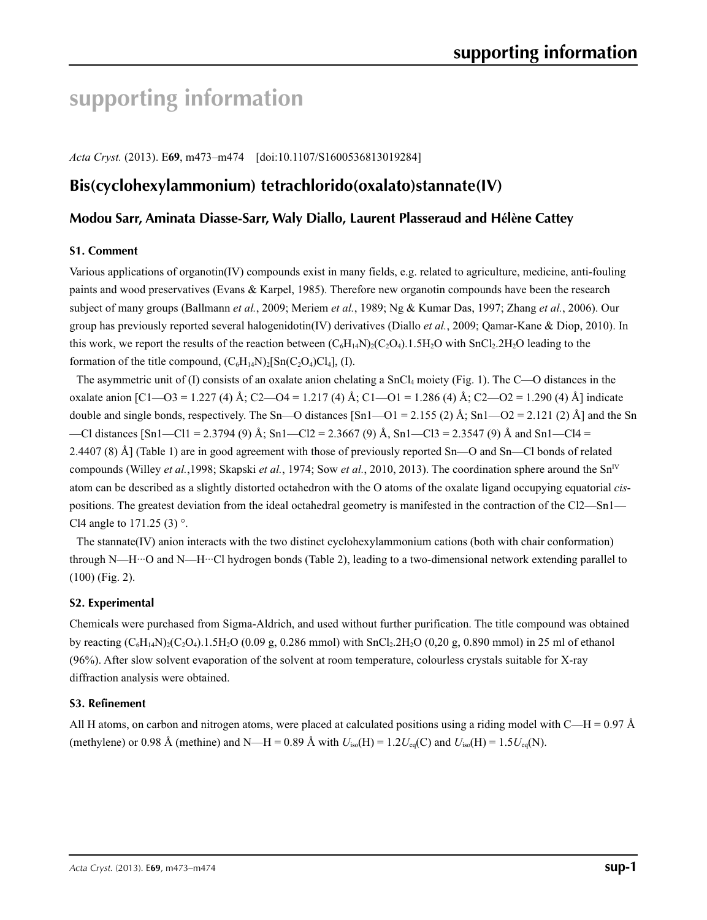# **supporting information**

*Acta Cryst.* (2013). E**69**, m473–m474 [doi:10.1107/S1600536813019284]

## **Bis(cyclohexylammonium) tetrachlorido(oxalato)stannate(IV)**

## **Modou Sarr, Aminata Diasse-Sarr, Waly Diallo, Laurent Plasseraud and Hélène Cattey**

#### **S1. Comment**

Various applications of organotin(IV) compounds exist in many fields, e.g. related to agriculture, medicine, anti-fouling paints and wood preservatives (Evans & Karpel, 1985). Therefore new organotin compounds have been the research subject of many groups (Ballmann *et al.*, 2009; Meriem *et al.*, 1989; Ng & Kumar Das, 1997; Zhang *et al.*, 2006). Our group has previously reported several halogenidotin(IV) derivatives (Diallo *et al.*, 2009; Qamar-Kane & Diop, 2010). In this work, we report the results of the reaction between  $(C_6H_{14}N)_2(C_2O_4)$ .1.5H<sub>2</sub>O with SnCl<sub>2</sub>.2H<sub>2</sub>O leading to the formation of the title compound,  $(C_6H_{14}N)_2[Sn(C_2O_4)Cl_4]$ , (I).

The asymmetric unit of (I) consists of an oxalate anion chelating a  $SnCl<sub>4</sub>$  moiety (Fig. 1). The C—O distances in the oxalate anion  $\lceil C1 - 03 \rceil$  1.227 (4) Å; C2—O4 = 1.217 (4) Å; C1—O1 = 1.286 (4) Å; C2—O2 = 1.290 (4) Å] indicate double and single bonds, respectively. The Sn—O distances [Sn1—O1 = 2.155 (2) Å; Sn1—O2 = 2.121 (2) Å] and the Sn —Cl distances  $\lceil \text{Sn1} - \text{Cl1} \rceil = 2.3794$  (9) Å; Sn1—Cl2 = 2.3667 (9) Å, Sn1—Cl3 = 2.3547 (9) Å and Sn1—Cl4 = 2.4407 (8) Å] (Table 1) are in good agreement with those of previously reported Sn—O and Sn—Cl bonds of related compounds (Willey *et al.*, 1998; Skapski *et al.*, 1974; Sow *et al.*, 2010, 2013). The coordination sphere around the Sn<sup>IV</sup> atom can be described as a slightly distorted octahedron with the O atoms of the oxalate ligand occupying equatorial *cis*positions. The greatest deviation from the ideal octahedral geometry is manifested in the contraction of the Cl2—Sn1— Cl4 angle to  $171.25(3)$ °.

The stannate(IV) anion interacts with the two distinct cyclohexylammonium cations (both with chair conformation) through N—H···O and N—H···Cl hydrogen bonds (Table 2), leading to a two-dimensional network extending parallel to (100) (Fig. 2).

### **S2. Experimental**

Chemicals were purchased from Sigma-Aldrich, and used without further purification. The title compound was obtained by reacting  $(C_6H_{14}N)_2(C_2O_4)$ .1.5H<sub>2</sub>O (0.09 g, 0.286 mmol) with SnCl<sub>2</sub>.2H<sub>2</sub>O (0,20 g, 0.890 mmol) in 25 ml of ethanol (96%). After slow solvent evaporation of the solvent at room temperature, colourless crystals suitable for X-ray diffraction analysis were obtained.

#### **S3. Refinement**

All H atoms, on carbon and nitrogen atoms, were placed at calculated positions using a riding model with C—H =  $0.97 \text{ Å}$ (methylene) or 0.98 Å (methine) and N—H = 0.89 Å with  $U_{\text{iso}}(H) = 1.2U_{\text{eq}}(C)$  and  $U_{\text{iso}}(H) = 1.5U_{\text{eq}}(N)$ .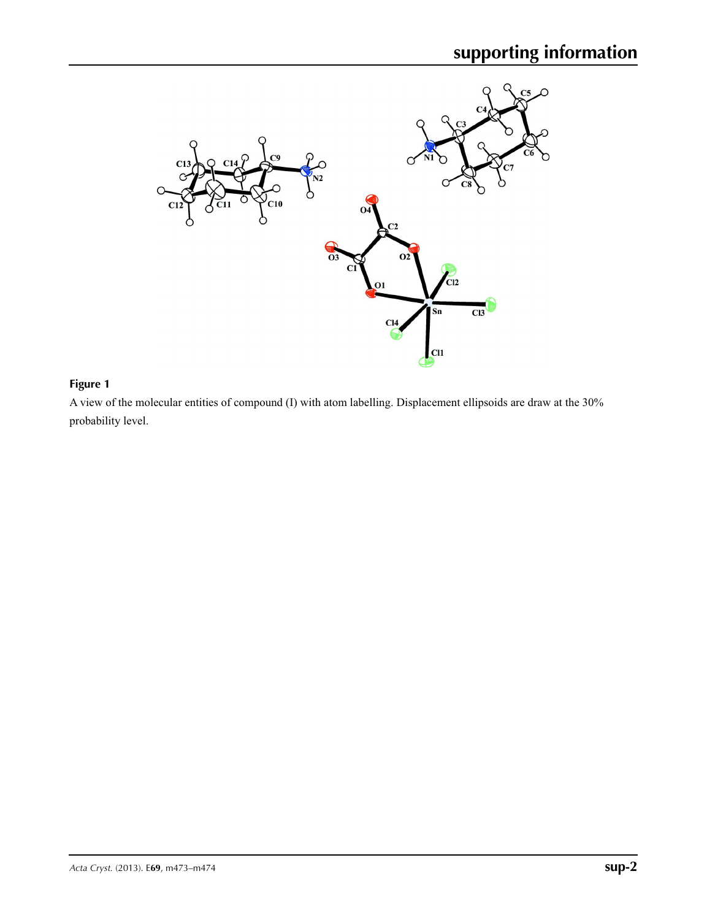

## **Figure 1**

A view of the molecular entities of compound (I) with atom labelling. Displacement ellipsoids are draw at the 30% probability level.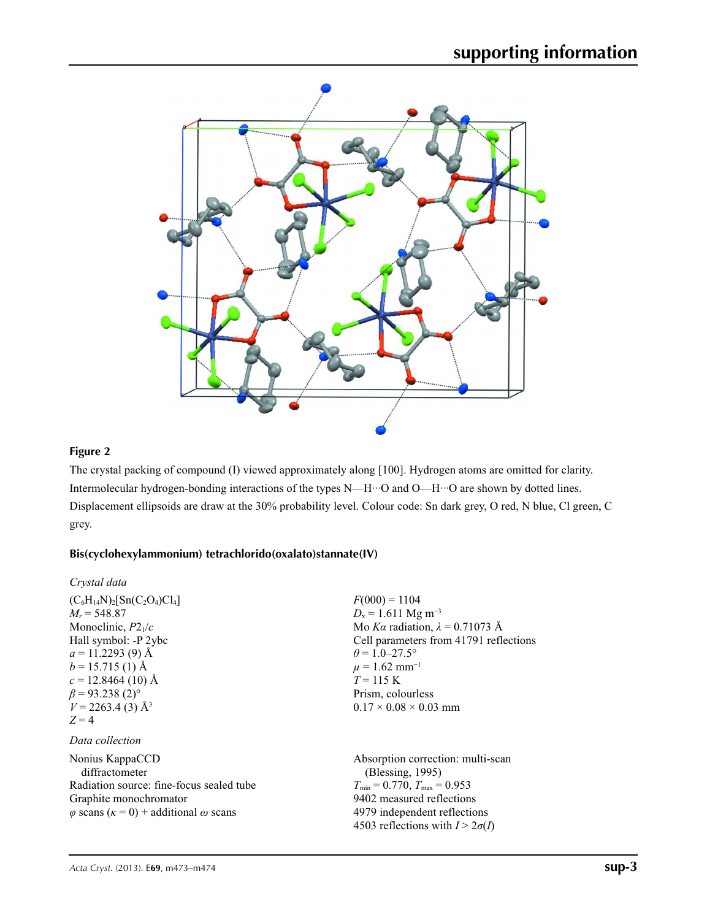

## **Figure 2**

The crystal packing of compound (I) viewed approximately along [100]. Hydrogen atoms are omitted for clarity. Intermolecular hydrogen-bonding interactions of the types N—H···O and O—H···O are shown by dotted lines. Displacement ellipsoids are draw at the 30% probability level. Colour code: Sn dark grey, O red, N blue, Cl green, C grey.

### **Bis(cyclohexylammonium) tetrachlorido(oxalato)stannate(IV)**

| Crystal data                                                                                                                                                                                                                                                                      |                                                                                                                                                                                                                                                                           |
|-----------------------------------------------------------------------------------------------------------------------------------------------------------------------------------------------------------------------------------------------------------------------------------|---------------------------------------------------------------------------------------------------------------------------------------------------------------------------------------------------------------------------------------------------------------------------|
| $(C_6H_{14}N)_2$ [Sn(C <sub>2</sub> O <sub>4</sub> )Cl <sub>4</sub> ]<br>$M_r = 548.87$<br>Monoclinic, $P2_1/c$<br>Hall symbol: -P 2ybc<br>$a = 11.2293(9)$ Å<br>$b = 15.715(1)$ Å<br>$c = 12.8464(10)$ Å<br>$\beta$ = 93.238 (2) <sup>o</sup><br>$V = 2263.4$ (3) Å <sup>3</sup> | $F(000) = 1104$<br>$D_x = 1.611$ Mg m <sup>-3</sup><br>Mo Ka radiation, $\lambda = 0.71073$ Å<br>Cell parameters from 41791 reflections<br>$\theta$ = 1.0–27.5°<br>$\mu = 1.62$ mm <sup>-1</sup><br>$T = 115 K$<br>Prism, colourless<br>$0.17 \times 0.08 \times 0.03$ mm |
| $Z=4$<br>Data collection                                                                                                                                                                                                                                                          |                                                                                                                                                                                                                                                                           |
| Nonius KappaCCD<br>diffractometer<br>Radiation source: fine-focus sealed tube<br>Graphite monochromator<br>$\varphi$ scans $(\kappa = 0)$ + additional $\omega$ scans                                                                                                             | Absorption correction: multi-scan<br>(Blessing, 1995)<br>$T_{\min} = 0.770$ , $T_{\max} = 0.953$<br>9402 measured reflections<br>4979 independent reflections<br>4503 reflections with $I > 2\sigma(I)$                                                                   |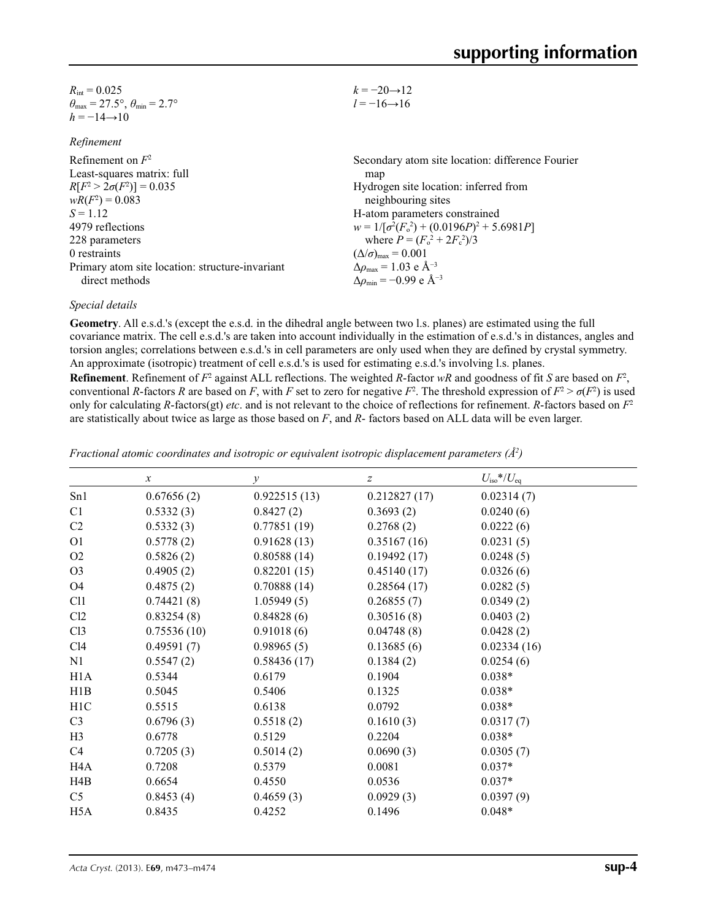| $R_{\text{int}} = 0.025$                                                | $k = -20 \rightarrow 12$ |
|-------------------------------------------------------------------------|--------------------------|
| $\theta_{\text{max}} = 27.5^{\circ}, \theta_{\text{min}} = 2.7^{\circ}$ | $l = -16 \rightarrow 16$ |
| $h = -14 \rightarrow 10$                                                |                          |

| Refinement |
|------------|
|------------|

| Refinement on $F^2$                             | Secondary atom site location: difference Fourier             |
|-------------------------------------------------|--------------------------------------------------------------|
| Least-squares matrix: full                      | map                                                          |
| $R[F^2 > 2\sigma(F^2)] = 0.035$                 | Hydrogen site location: inferred from                        |
| $wR(F^2) = 0.083$                               | neighbouring sites                                           |
| $S = 1.12$                                      | H-atom parameters constrained                                |
| 4979 reflections                                | $w = 1/[\sigma^2(F_0^2) + (0.0196P)^2 + 5.6981P]$            |
| 228 parameters                                  | where $P = (F_o^2 + 2F_c^2)/3$                               |
| 0 restraints                                    | $(\Delta/\sigma)_{\text{max}} = 0.001$                       |
| Primary atom site location: structure-invariant | $\Delta \rho_{\text{max}} = 1.03 \text{ e } \text{\AA}^{-3}$ |
| direct methods                                  | $\Delta\rho_{\rm min} = -0.99$ e Å <sup>-3</sup>             |
|                                                 |                                                              |

#### *Special details*

**Geometry**. All e.s.d.'s (except the e.s.d. in the dihedral angle between two l.s. planes) are estimated using the full covariance matrix. The cell e.s.d.'s are taken into account individually in the estimation of e.s.d.'s in distances, angles and torsion angles; correlations between e.s.d.'s in cell parameters are only used when they are defined by crystal symmetry. An approximate (isotropic) treatment of cell e.s.d.'s is used for estimating e.s.d.'s involving l.s. planes.

**Refinement**. Refinement of  $F^2$  against ALL reflections. The weighted R-factor wR and goodness of fit *S* are based on  $F^2$ , conventional *R*-factors *R* are based on *F*, with *F* set to zero for negative  $F^2$ . The threshold expression of  $F^2 > \sigma(F^2)$  is used only for calculating *R*-factors(gt) *etc*. and is not relevant to the choice of reflections for refinement. *R*-factors based on *F*<sup>2</sup> are statistically about twice as large as those based on *F*, and *R*- factors based on ALL data will be even larger.

|                  | $\boldsymbol{\chi}$ | $\mathcal{Y}$ | $\boldsymbol{Z}$ | $U_{\rm iso}*/U_{\rm eq}$ |
|------------------|---------------------|---------------|------------------|---------------------------|
| Sn1              | 0.67656(2)          | 0.922515(13)  | 0.212827(17)     | 0.02314(7)                |
| C1               | 0.5332(3)           | 0.8427(2)     | 0.3693(2)        | 0.0240(6)                 |
| C <sub>2</sub>   | 0.5332(3)           | 0.77851(19)   | 0.2768(2)        | 0.0222(6)                 |
| O <sub>1</sub>   | 0.5778(2)           | 0.91628(13)   | 0.35167(16)      | 0.0231(5)                 |
| O <sub>2</sub>   | 0.5826(2)           | 0.80588(14)   | 0.19492(17)      | 0.0248(5)                 |
| O <sub>3</sub>   | 0.4905(2)           | 0.82201(15)   | 0.45140(17)      | 0.0326(6)                 |
| O <sub>4</sub>   | 0.4875(2)           | 0.70888(14)   | 0.28564(17)      | 0.0282(5)                 |
| C11              | 0.74421(8)          | 1.05949(5)    | 0.26855(7)       | 0.0349(2)                 |
| Cl2              | 0.83254(8)          | 0.84828(6)    | 0.30516(8)       | 0.0403(2)                 |
| C13              | 0.75536(10)         | 0.91018(6)    | 0.04748(8)       | 0.0428(2)                 |
| C14              | 0.49591(7)          | 0.98965(5)    | 0.13685(6)       | 0.02334(16)               |
| N1               | 0.5547(2)           | 0.58436(17)   | 0.1384(2)        | 0.0254(6)                 |
| H1A              | 0.5344              | 0.6179        | 0.1904           | $0.038*$                  |
| H1B              | 0.5045              | 0.5406        | 0.1325           | $0.038*$                  |
| H1C              | 0.5515              | 0.6138        | 0.0792           | $0.038*$                  |
| C <sub>3</sub>   | 0.6796(3)           | 0.5518(2)     | 0.1610(3)        | 0.0317(7)                 |
| H <sub>3</sub>   | 0.6778              | 0.5129        | 0.2204           | $0.038*$                  |
| C4               | 0.7205(3)           | 0.5014(2)     | 0.0690(3)        | 0.0305(7)                 |
| H4A              | 0.7208              | 0.5379        | 0.0081           | $0.037*$                  |
| H4B              | 0.6654              | 0.4550        | 0.0536           | $0.037*$                  |
| C <sub>5</sub>   | 0.8453(4)           | 0.4659(3)     | 0.0929(3)        | 0.0397(9)                 |
| H <sub>5</sub> A | 0.8435              | 0.4252        | 0.1496           | $0.048*$                  |

*Fractional atomic coordinates and isotropic or equivalent isotropic displacement parameters (Å<sup>2</sup>)*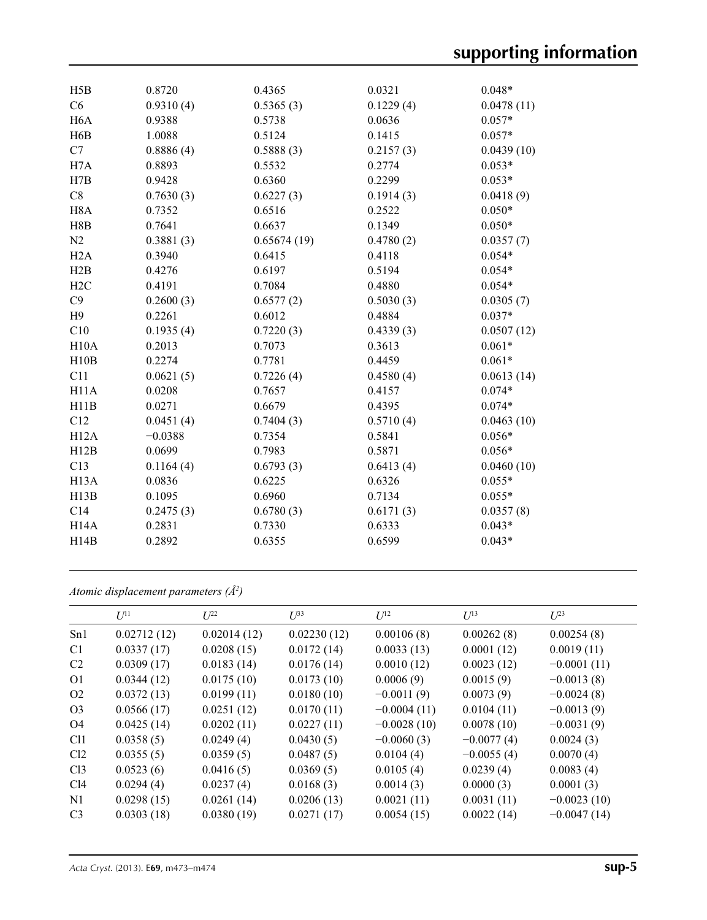| H5B               | 0.8720    | 0.4365      | 0.0321    | $0.048*$   |
|-------------------|-----------|-------------|-----------|------------|
| C6                | 0.9310(4) | 0.5365(3)   | 0.1229(4) | 0.0478(11) |
| H <sub>6</sub> A  | 0.9388    | 0.5738      | 0.0636    | $0.057*$   |
| H6B               | 1.0088    | 0.5124      | 0.1415    | $0.057*$   |
| C7                | 0.8886(4) | 0.5888(3)   | 0.2157(3) | 0.0439(10) |
| H7A               | 0.8893    | 0.5532      | 0.2774    | $0.053*$   |
| H7B               | 0.9428    | 0.6360      | 0.2299    | $0.053*$   |
| $\rm C8$          | 0.7630(3) | 0.6227(3)   | 0.1914(3) | 0.0418(9)  |
| H <sub>8</sub> A  | 0.7352    | 0.6516      | 0.2522    | $0.050*$   |
| H8B               | 0.7641    | 0.6637      | 0.1349    | $0.050*$   |
| N2                | 0.3881(3) | 0.65674(19) | 0.4780(2) | 0.0357(7)  |
| H2A               | 0.3940    | 0.6415      | 0.4118    | $0.054*$   |
| H2B               | 0.4276    | 0.6197      | 0.5194    | $0.054*$   |
| H2C               | 0.4191    | 0.7084      | 0.4880    | $0.054*$   |
| C9                | 0.2600(3) | 0.6577(2)   | 0.5030(3) | 0.0305(7)  |
| H9                | 0.2261    | 0.6012      | 0.4884    | $0.037*$   |
| C10               | 0.1935(4) | 0.7220(3)   | 0.4339(3) | 0.0507(12) |
| H10A              | 0.2013    | 0.7073      | 0.3613    | $0.061*$   |
| H10B              | 0.2274    | 0.7781      | 0.4459    | $0.061*$   |
| C11               | 0.0621(5) | 0.7226(4)   | 0.4580(4) | 0.0613(14) |
| H11A              | 0.0208    | 0.7657      | 0.4157    | $0.074*$   |
| H11B              | 0.0271    | 0.6679      | 0.4395    | $0.074*$   |
| C12               | 0.0451(4) | 0.7404(3)   | 0.5710(4) | 0.0463(10) |
| H12A              | $-0.0388$ | 0.7354      | 0.5841    | $0.056*$   |
| H12B              | 0.0699    | 0.7983      | 0.5871    | $0.056*$   |
| C13               | 0.1164(4) | 0.6793(3)   | 0.6413(4) | 0.0460(10) |
| H <sub>13</sub> A | 0.0836    | 0.6225      | 0.6326    | $0.055*$   |
| H13B              | 0.1095    | 0.6960      | 0.7134    | $0.055*$   |
| C14               | 0.2475(3) | 0.6780(3)   | 0.6171(3) | 0.0357(8)  |
| H14A              | 0.2831    | 0.7330      | 0.6333    | $0.043*$   |
| H14B              | 0.2892    | 0.6355      | 0.6599    | $0.043*$   |
|                   |           |             |           |            |

*Atomic displacement parameters (Å2 )*

|                 | $U^{11}$    | $L^{22}$    | $U^{33}$    | $U^{12}$      | $U^{13}$     | $U^{23}$      |
|-----------------|-------------|-------------|-------------|---------------|--------------|---------------|
| Sn1             | 0.02712(12) | 0.02014(12) | 0.02230(12) | 0.00106(8)    | 0.00262(8)   | 0.00254(8)    |
| C <sub>1</sub>  | 0.0337(17)  | 0.0208(15)  | 0.0172(14)  | 0.0033(13)    | 0.0001(12)   | 0.0019(11)    |
| C2              | 0.0309(17)  | 0.0183(14)  | 0.0176(14)  | 0.0010(12)    | 0.0023(12)   | $-0.0001(11)$ |
| 01              | 0.0344(12)  | 0.0175(10)  | 0.0173(10)  | 0.0006(9)     | 0.0015(9)    | $-0.0013(8)$  |
| O <sub>2</sub>  | 0.0372(13)  | 0.0199(11)  | 0.0180(10)  | $-0.0011(9)$  | 0.0073(9)    | $-0.0024(8)$  |
| O <sub>3</sub>  | 0.0566(17)  | 0.0251(12)  | 0.0170(11)  | $-0.0004(11)$ | 0.0104(11)   | $-0.0013(9)$  |
| O4              | 0.0425(14)  | 0.0202(11)  | 0.0227(11)  | $-0.0028(10)$ | 0.0078(10)   | $-0.0031(9)$  |
| Cl1             | 0.0358(5)   | 0.0249(4)   | 0.0430(5)   | $-0.0060(3)$  | $-0.0077(4)$ | 0.0024(3)     |
| Cl <sub>2</sub> | 0.0355(5)   | 0.0359(5)   | 0.0487(5)   | 0.0104(4)     | $-0.0055(4)$ | 0.0070(4)     |
| Cl <sub>3</sub> | 0.0523(6)   | 0.0416(5)   | 0.0369(5)   | 0.0105(4)     | 0.0239(4)    | 0.0083(4)     |
| Cl4             | 0.0294(4)   | 0.0237(4)   | 0.0168(3)   | 0.0014(3)     | 0.0000(3)    | 0.0001(3)     |
| N1              | 0.0298(15)  | 0.0261(14)  | 0.0206(13)  | 0.0021(11)    | 0.0031(11)   | $-0.0023(10)$ |
| C <sub>3</sub>  | 0.0303(18)  | 0.0380(19)  | 0.0271(17)  | 0.0054(15)    | 0.0022(14)   | $-0.0047(14)$ |
|                 |             |             |             |               |              |               |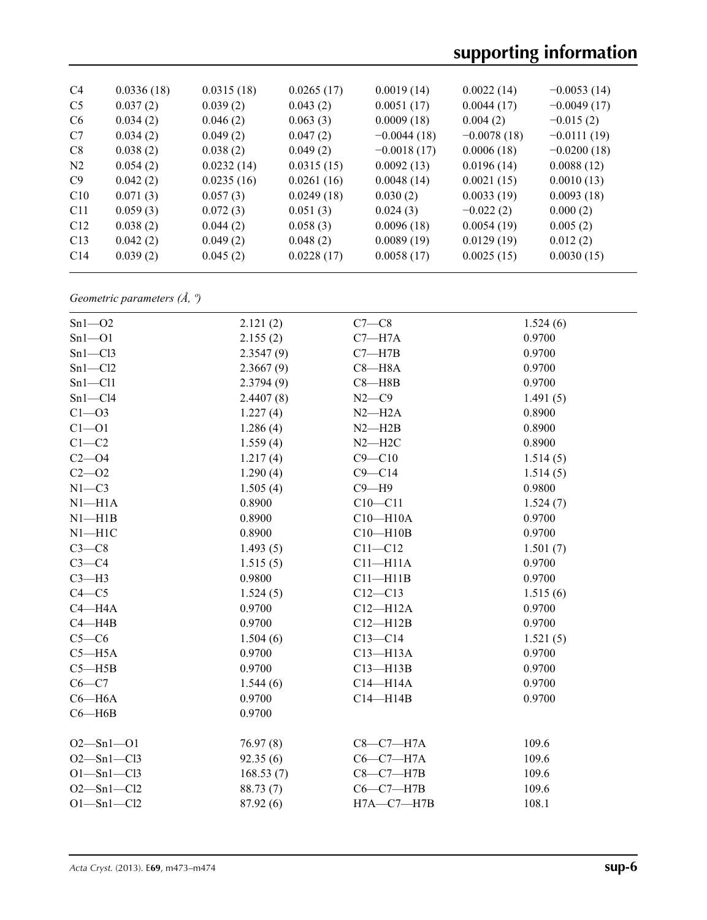# **supporting information**

| C <sub>4</sub>  | 0.0336(18) | 0.0315(18) | 0.0265(17) | 0.0019(14)    | 0.0022(14)    | $-0.0053(14)$ |
|-----------------|------------|------------|------------|---------------|---------------|---------------|
| C <sub>5</sub>  | 0.037(2)   | 0.039(2)   | 0.043(2)   | 0.0051(17)    | 0.0044(17)    | $-0.0049(17)$ |
| C <sub>6</sub>  | 0.034(2)   | 0.046(2)   | 0.063(3)   | 0.0009(18)    | 0.004(2)      | $-0.015(2)$   |
| C <sub>7</sub>  | 0.034(2)   | 0.049(2)   | 0.047(2)   | $-0.0044(18)$ | $-0.0078(18)$ | $-0.0111(19)$ |
| C8              | 0.038(2)   | 0.038(2)   | 0.049(2)   | $-0.0018(17)$ | 0.0006(18)    | $-0.0200(18)$ |
| N <sub>2</sub>  | 0.054(2)   | 0.0232(14) | 0.0315(15) | 0.0092(13)    | 0.0196(14)    | 0.0088(12)    |
| C9              | 0.042(2)   | 0.0235(16) | 0.0261(16) | 0.0048(14)    | 0.0021(15)    | 0.0010(13)    |
| C10             | 0.071(3)   | 0.057(3)   | 0.0249(18) | 0.030(2)      | 0.0033(19)    | 0.0093(18)    |
| C <sub>11</sub> | 0.059(3)   | 0.072(3)   | 0.051(3)   | 0.024(3)      | $-0.022(2)$   | 0.000(2)      |
| C12             | 0.038(2)   | 0.044(2)   | 0.058(3)   | 0.0096(18)    | 0.0054(19)    | 0.005(2)      |
| C13             | 0.042(2)   | 0.049(2)   | 0.048(2)   | 0.0089(19)    | 0.0129(19)    | 0.012(2)      |
| C14             | 0.039(2)   | 0.045(2)   | 0.0228(17) | 0.0058(17)    | 0.0025(15)    | 0.0030(15)    |
|                 |            |            |            |               |               |               |

*Geometric parameters (Å, º)*

| $Sn1 - O2$       | 2.121(2)  | $C7-C8$          | 1.524(6) |
|------------------|-----------|------------------|----------|
| $Sn1 - O1$       | 2.155(2)  | $C7 - H7A$       | 0.9700   |
| $Sn1-C13$        | 2.3547(9) | $C7 - H7B$       | 0.9700   |
| $Sn1 - Cl2$      | 2.3667(9) | $C8 - H8A$       | 0.9700   |
| $Sn1 - Cl1$      | 2.3794(9) | $C8 - H8B$       | 0.9700   |
| $Sn1-C14$        | 2.4407(8) | $N2-C9$          | 1.491(5) |
| $C1 - 03$        | 1.227(4)  | $N2-H2A$         | 0.8900   |
| $C1 - 01$        | 1.286(4)  | $N2 - H2B$       | 0.8900   |
| $C1 - C2$        | 1.559(4)  | $N2 - H2C$       | 0.8900   |
| $C2 - O4$        | 1.217(4)  | $C9 - C10$       | 1.514(5) |
| $C2 - 02$        | 1.290(4)  | $C9 - C14$       | 1.514(5) |
| $N1 - C3$        | 1.505(4)  | $C9 - H9$        | 0.9800   |
| $N1 - H1A$       | 0.8900    | $C10-C11$        | 1.524(7) |
| $N1 - H1B$       | 0.8900    | $C10 - H10A$     | 0.9700   |
| $N1 - H1C$       | 0.8900    | $C10 - H10B$     | 0.9700   |
| $C3-C8$          | 1.493(5)  | $C11 - C12$      | 1.501(7) |
| $C3-C4$          | 1.515(5)  | $C11 - H11A$     | 0.9700   |
| $C3-H3$          | 0.9800    | $C11 - H11B$     | 0.9700   |
| $C4 - C5$        | 1.524(5)  | $C12 - C13$      | 1.515(6) |
| $C4 - H4A$       | 0.9700    | $C12 - H12A$     | 0.9700   |
| $C4 - H4B$       | 0.9700    | $C12 - H12B$     | 0.9700   |
| $C5-C6$          | 1.504(6)  | $C13-C14$        | 1.521(5) |
| $C5 - H5A$       | 0.9700    | $C13 - H13A$     | 0.9700   |
| $C5 - H5B$       | 0.9700    | $C13 - H13B$     | 0.9700   |
| $C6 - C7$        | 1.544(6)  | $C14 - H14A$     | 0.9700   |
| $C6 - H6A$       | 0.9700    | $C14 - H14B$     | 0.9700   |
| $C6 - H6B$       | 0.9700    |                  |          |
| $O2 - Sn1 - O1$  | 76.97(8)  | $C8-C7-H7A$      | 109.6    |
| $O2 - Sn1 - Cl3$ | 92.35(6)  | $C6-C7-H7A$      | 109.6    |
| $O1 - Sn1 - Cl3$ | 168.53(7) | $C8-C7-H7B$      | 109.6    |
| $O2 - Sn1 - Cl2$ | 88.73 (7) | $C6-C7-H7B$      | 109.6    |
| $O1 - Sn1 - Cl2$ | 87.92 (6) | $H7A - C7 - H7B$ | 108.1    |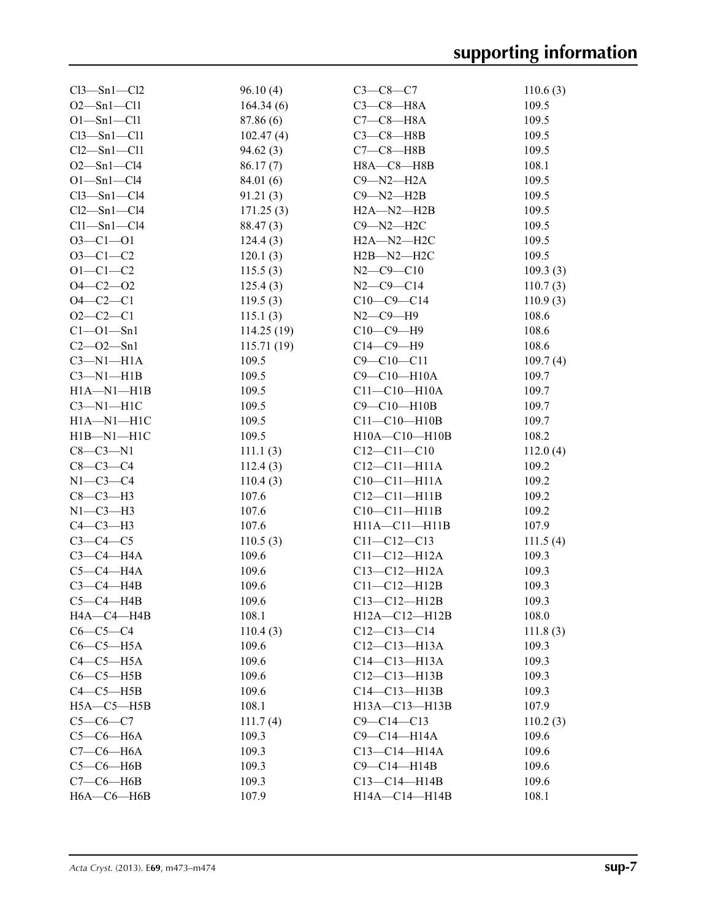| $Cl3 - Sn1 - Cl2$ | 96.10(4)   | $C3 - C8 - C7$      | 110.6(3) |
|-------------------|------------|---------------------|----------|
| $O2 - Sn1 - Cl1$  | 164.34(6)  | $C3-C8-H8A$         | 109.5    |
| $O1 - Sn1 - Cl1$  | 87.86 (6)  | $C7-C8-H8A$         | 109.5    |
| $Cl3 - Sn1 - Cl1$ | 102.47(4)  | $C3-C8-H8B$         | 109.5    |
| $Cl2-Sn1-Cl1$     | 94.62(3)   | $C7-C8-H8B$         | 109.5    |
| $O2 - Sn1 - Cl4$  | 86.17(7)   | H8A-C8-H8B          | 108.1    |
| $O1 - Sn1 - Cl4$  | 84.01 (6)  | $C9 - N2 - H2A$     | 109.5    |
| $Cl3 - Sn1 - Cl4$ | 91.21(3)   | $C9 - N2 - H2B$     | 109.5    |
| $Cl2 - Sn1 - Cl4$ | 171.25(3)  | $H2A-M2-H2B$        | 109.5    |
| $Cl1 - Sn1 - Cl4$ | 88.47(3)   | $C9 - N2 - H2C$     | 109.5    |
| $O3 - Cl - O1$    | 124.4(3)   | $H2A - N2 - H2C$    | 109.5    |
| $O3 - C1 - C2$    | 120.1(3)   | $H2B-M2-H2C$        | 109.5    |
| $O1 - C1 - C2$    | 115.5(3)   | $N2 - C9 - C10$     | 109.3(3) |
| $O4 - C2 - O2$    | 125.4(3)   | $N2 - C9 - C14$     | 110.7(3) |
| $O4 - C2 - C1$    | 119.5(3)   | $C10-C9-C14$        | 110.9(3) |
| $O2 - C2 - C1$    | 115.1(3)   | $N2 - C9 - H9$      | 108.6    |
| $Cl - O1 - Sn1$   | 114.25(19) | $C10-C9-H9$         | 108.6    |
| $C2 - O2 - Sn1$   | 115.71(19) | $C14-C9-H9$         | 108.6    |
| $C3-M1-H1A$       | 109.5      | $C9 - C10 - C11$    | 109.7(4) |
| $C3-M1-H1B$       | 109.5      | $C9 - C10 - H10A$   | 109.7    |
| $H1A - N1 - H1B$  | 109.5      | $C11 - C10 - H10A$  | 109.7    |
| $C3-M1-H1C$       | 109.5      | C9-C10-H10B         | 109.7    |
| $H1A-M1-H1C$      | 109.5      | $C11 - C10 - H10B$  | 109.7    |
| $H1B-M1-H1C$      | 109.5      | $H10A - C10 - H10B$ | 108.2    |
| $C8 - C3 - N1$    | 111.1(3)   | $C12 - C11 - C10$   | 112.0(4) |
| $C8 - C3 - C4$    | 112.4(3)   | $C12-C11-H11A$      | 109.2    |
| $N1-C3-C4$        | 110.4(3)   | $C10-C11-H11A$      | 109.2    |
| $C8-C3-H3$        | 107.6      | $C12 - C11 - H11B$  | 109.2    |
| $N1-C3-H3$        | 107.6      | $C10-C11-H11B$      | 109.2    |
| $C4-C3-H3$        | 107.6      | $H11A - C11 - H11B$ | 107.9    |
| $C3-C4-C5$        | 110.5(3)   | $C11 - C12 - C13$   | 111.5(4) |
| $C3-C4-H4A$       | 109.6      | $C11 - C12 - H12A$  | 109.3    |
| $C5-C4-H4A$       | 109.6      | $C13 - C12 - H12A$  | 109.3    |
| $C3-C4-H4B$       | 109.6      | $C11-C12-H12B$      | 109.3    |
| $C5-C4-HAB$       | 109.6      | $C13-C12-H12B$      | 109.3    |
| HA—C4—H4B         | 108.1      | $H12A - C12 - H12B$ | 108.0    |
| $C6-C5-C4$        | 110.4(3)   | $C12-C13-C14$       | 111.8(3) |
| $C6-C5-H5A$       | 109.6      | $C12 - C13 - H13A$  | 109.3    |
| $C4-C5-H5A$       | 109.6      | $C14 - C13 - H13A$  | 109.3    |
| $C6-C5-H5B$       | 109.6      | $C12 - C13 - H13B$  | 109.3    |
| $C4-C5-H5B$       | 109.6      | $C14-C13-H13B$      | 109.3    |
| $H5A - C5 - H5B$  | 108.1      | $H13A - C13 - H13B$ | 107.9    |
| $C5-C6-C7$        | 111.7(4)   | $C9 - C14 - C13$    | 110.2(3) |
| $C5-C6-H6A$       | 109.3      | C9-C14-H14A         | 109.6    |
| $C7-C6-H6A$       | 109.3      | $C13-C14-H14A$      | 109.6    |
| $C5-C6-H6B$       | 109.3      | $C9-C14-H14B$       | 109.6    |
| $C7-C6$ -H6B      | 109.3      | $C13-C14-H14B$      | 109.6    |
| $H6A-C6-H6B$      | 107.9      | H14A-C14-H14B       | 108.1    |